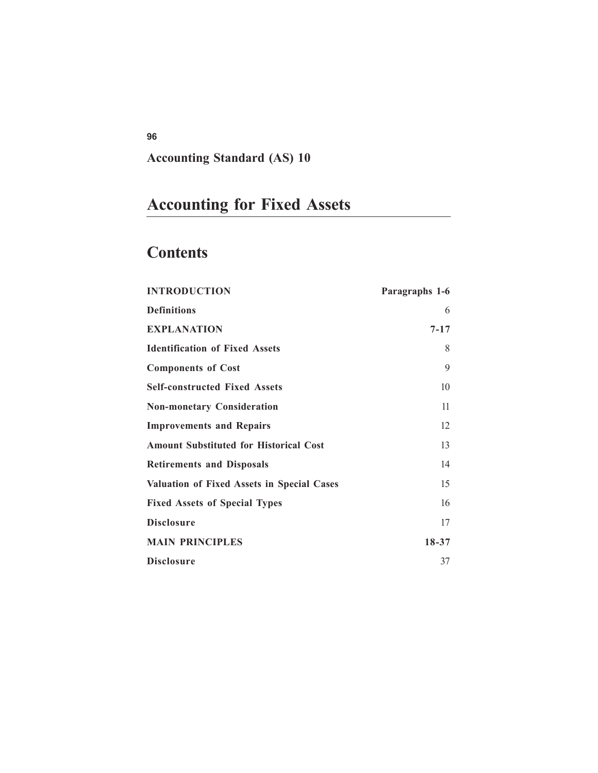## **Accounting Standard (AS) 10**

# **Accounting for Fixed Assets**

## **Contents**

| <b>INTRODUCTION</b>                               | Paragraphs 1-6 |
|---------------------------------------------------|----------------|
| <b>Definitions</b>                                | 6              |
| <b>EXPLANATION</b>                                | $7 - 17$       |
| <b>Identification of Fixed Assets</b>             | 8              |
| <b>Components of Cost</b>                         | 9              |
| <b>Self-constructed Fixed Assets</b>              | 10             |
| <b>Non-monetary Consideration</b>                 | 11             |
| <b>Improvements and Repairs</b>                   | 12             |
| <b>Amount Substituted for Historical Cost</b>     | 13             |
| <b>Retirements and Disposals</b>                  | 14             |
| <b>Valuation of Fixed Assets in Special Cases</b> | 15             |
| <b>Fixed Assets of Special Types</b>              | 16             |
| <b>Disclosure</b>                                 | 17             |
| <b>MAIN PRINCIPLES</b>                            | 18-37          |
| Disclosure                                        | 37             |

**96**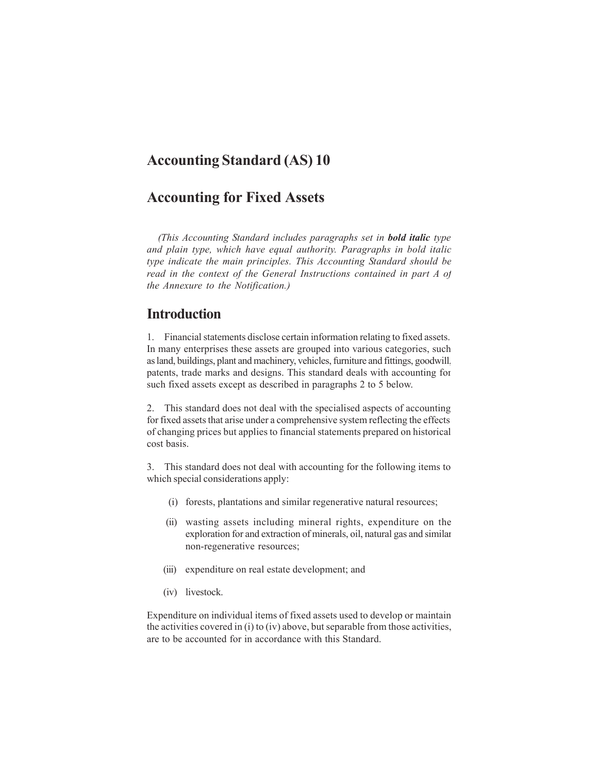## **Accounting Standard (AS) 10**

## **Accounting for Fixed Assets**

*(This Accounting Standard includes paragraphs set in bold italic type and plain type, which have equal authority. Paragraphs in bold italic type indicate the main principles. This Accounting Standard should be read in the context of the General Instructions contained in part A of the Annexure to the Notification.)*

## **Introduction**

1. Financial statements disclose certain information relating to fixed assets. In many enterprises these assets are grouped into various categories, such as land, buildings, plant and machinery, vehicles, furniture and fittings, goodwill, patents, trade marks and designs. This standard deals with accounting for such fixed assets except as described in paragraphs 2 to 5 below.

2. This standard does not deal with the specialised aspects of accounting for fixed assets that arise under a comprehensive system reflecting the effects of changing prices but applies to financial statements prepared on historical cost basis.

3. This standard does not deal with accounting for the following items to which special considerations apply:

- (i) forests, plantations and similar regenerative natural resources;
- (ii) wasting assets including mineral rights, expenditure on the exploration for and extraction of minerals, oil, natural gas and similar non-regenerative resources;
- (iii) expenditure on real estate development; and
- (iv) livestock.

Expenditure on individual items of fixed assets used to develop or maintain the activities covered in (i) to (iv) above, but separable from those activities, are to be accounted for in accordance with this Standard.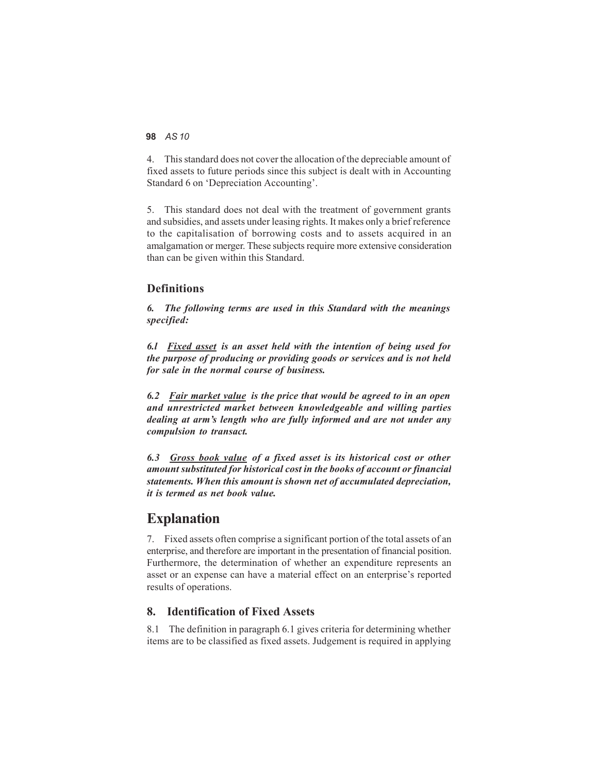4. This standard does not cover the allocation of the depreciable amount of fixed assets to future periods since this subject is dealt with in Accounting Standard 6 on 'Depreciation Accounting'.

5. This standard does not deal with the treatment of government grants and subsidies, and assets under leasing rights. It makes only a brief reference to the capitalisation of borrowing costs and to assets acquired in an amalgamation or merger. These subjects require more extensive consideration than can be given within this Standard.

#### **Definitions**

*6. The following terms are used in this Standard with the meanings specified:*

*6.l Fixed asset is an asset held with the intention of being used for the purpose of producing or providing goods or services and is not held for sale in the normal course of business.*

*6.2 Fair market value is the price that would be agreed to in an open and unrestricted market between knowledgeable and willing parties dealing at arm's length who are fully informed and are not under any compulsion to transact.*

*6.3 Gross book value of a fixed asset is its historical cost or other amount substituted for historical cost in the books of account or financial statements. When this amount is shown net of accumulated depreciation, it is termed as net book value.*

### **Explanation**

7. Fixed assets often comprise a significant portion of the total assets of an enterprise, and therefore are important in the presentation of financial position. Furthermore, the determination of whether an expenditure represents an asset or an expense can have a material effect on an enterprise's reported results of operations.

#### **8. Identification of Fixed Assets**

8.1 The definition in paragraph 6.1 gives criteria for determining whether items are to be classified as fixed assets. Judgement is required in applying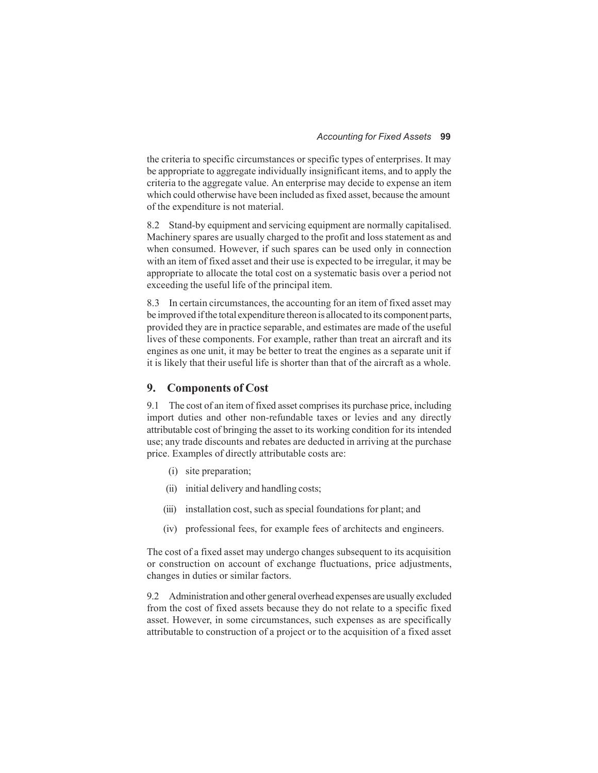the criteria to specific circumstances or specific types of enterprises. It may be appropriate to aggregate individually insignificant items, and to apply the criteria to the aggregate value. An enterprise may decide to expense an item which could otherwise have been included as fixed asset, because the amount of the expenditure is not material.

8.2 Stand-by equipment and servicing equipment are normally capitalised. Machinery spares are usually charged to the profit and loss statement as and when consumed. However, if such spares can be used only in connection with an item of fixed asset and their use is expected to be irregular, it may be appropriate to allocate the total cost on a systematic basis over a period not exceeding the useful life of the principal item.

8.3 In certain circumstances, the accounting for an item of fixed asset may be improved if the total expenditure thereon is allocated to its component parts, provided they are in practice separable, and estimates are made of the useful lives of these components. For example, rather than treat an aircraft and its engines as one unit, it may be better to treat the engines as a separate unit if it is likely that their useful life is shorter than that of the aircraft as a whole.

#### **9. Components of Cost**

9.1 The cost of an item of fixed asset comprises its purchase price, including import duties and other non-refundable taxes or levies and any directly attributable cost of bringing the asset to its working condition for its intended use; any trade discounts and rebates are deducted in arriving at the purchase price. Examples of directly attributable costs are:

- (i) site preparation;
- (ii) initial delivery and handling costs;
- (iii) installation cost, such as special foundations for plant; and
- (iv) professional fees, for example fees of architects and engineers.

The cost of a fixed asset may undergo changes subsequent to its acquisition or construction on account of exchange fluctuations, price adjustments, changes in duties or similar factors.

9.2 Administration and other general overhead expenses are usually excluded from the cost of fixed assets because they do not relate to a specific fixed asset. However, in some circumstances, such expenses as are specifically attributable to construction of a project or to the acquisition of a fixed asset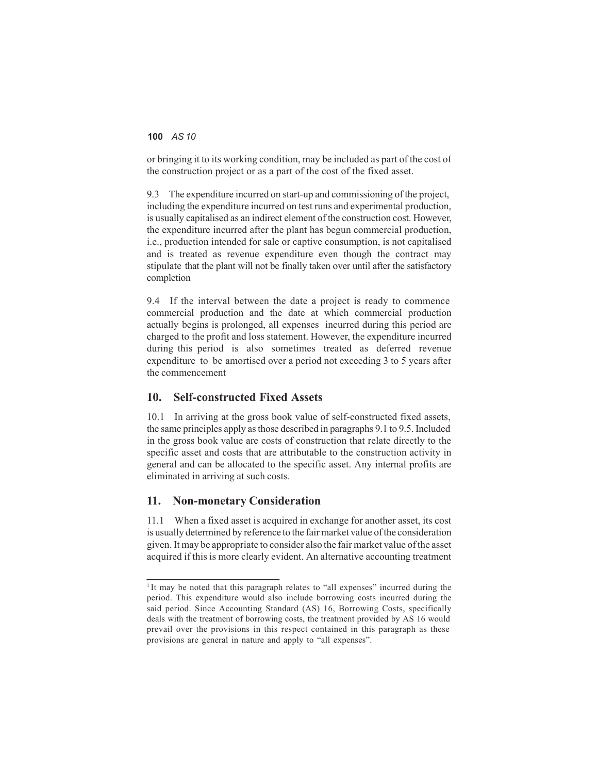or bringing it to its working condition, may be included as part of the cost of the construction project or as a part of the cost of the fixed asset.

9.3 The expenditure incurred on start-up and commissioning of the project, including the expenditure incurred on test runs and experimental production, is usually capitalised as an indirect element of the construction cost. However, the expenditure incurred after the plant has begun commercial production, i.e., production intended for sale or captive consumption, is not capitalised and is treated as revenue expenditure even though the contract may stipulate that the plant will not be finally taken over until after the satisfactory completion

9.4 If the interval between the date a project is ready to commence commercial production and the date at which commercial production actually begins is prolonged, all expenses incurred during this period are charged to the profit and loss statement. However, the expenditure incurred during this period is also sometimes treated as deferred revenue expenditure to be amortised over a period not exceeding 3 to 5 years after the commencement

#### **10. Self-constructed Fixed Assets**

10.1 In arriving at the gross book value of self-constructed fixed assets, the same principles apply as those described in paragraphs 9.1 to 9.5. Included in the gross book value are costs of construction that relate directly to the specific asset and costs that are attributable to the construction activity in general and can be allocated to the specific asset. Any internal profits are eliminated in arriving at such costs.

#### **11. Non-monetary Consideration**

11.1 When a fixed asset is acquired in exchange for another asset, its cost is usually determined by reference to the fair market value of the consideration given. It may be appropriate to consider also the fair market value of the asset acquired if this is more clearly evident. An alternative accounting treatment

<sup>&</sup>lt;sup>1</sup> It may be noted that this paragraph relates to "all expenses" incurred during the period. This expenditure would also include borrowing costs incurred during the said period. Since Accounting Standard (AS) 16, Borrowing Costs, specifically deals with the treatment of borrowing costs, the treatment provided by AS 16 would prevail over the provisions in this respect contained in this paragraph as these provisions are general in nature and apply to "all expenses".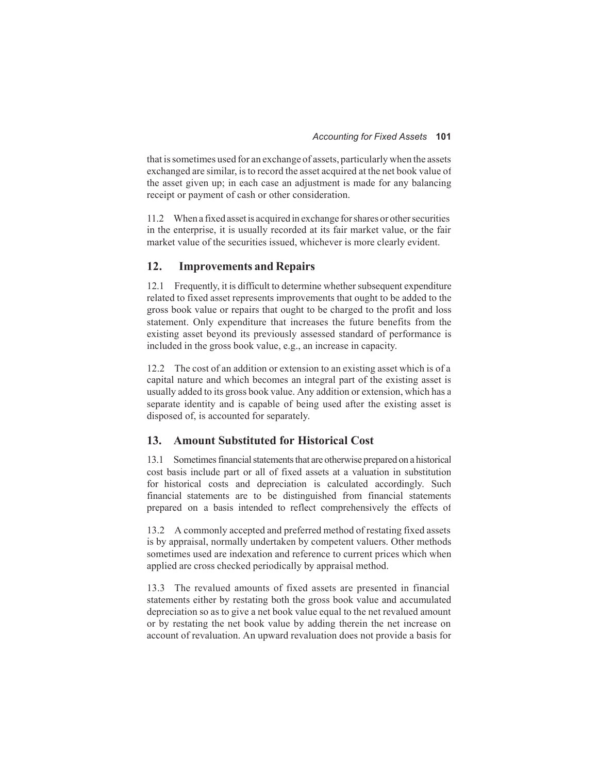that is sometimes used for an exchange of assets, particularly when the assets exchanged are similar, is to record the asset acquired at the net book value of the asset given up; in each case an adjustment is made for any balancing receipt or payment of cash or other consideration.

11.2 When a fixed asset is acquired in exchange for shares or other securities in the enterprise, it is usually recorded at its fair market value, or the fair market value of the securities issued, whichever is more clearly evident.

#### **12. Improvements and Repairs**

12.1 Frequently, it is difficult to determine whether subsequent expenditure related to fixed asset represents improvements that ought to be added to the gross book value or repairs that ought to be charged to the profit and loss statement. Only expenditure that increases the future benefits from the existing asset beyond its previously assessed standard of performance is included in the gross book value, e.g., an increase in capacity.

12.2 The cost of an addition or extension to an existing asset which is of a capital nature and which becomes an integral part of the existing asset is usually added to its gross book value. Any addition or extension, which has a separate identity and is capable of being used after the existing asset is disposed of, is accounted for separately.

#### **13. Amount Substituted for Historical Cost**

13.1 Sometimes financial statements that are otherwise prepared on a historical cost basis include part or all of fixed assets at a valuation in substitution for historical costs and depreciation is calculated accordingly. Such financial statements are to be distinguished from financial statements prepared on a basis intended to reflect comprehensively the effects of

13.2 A commonly accepted and preferred method of restating fixed assets is by appraisal, normally undertaken by competent valuers. Other methods sometimes used are indexation and reference to current prices which when applied are cross checked periodically by appraisal method.

13.3 The revalued amounts of fixed assets are presented in financial statements either by restating both the gross book value and accumulated depreciation so as to give a net book value equal to the net revalued amount or by restating the net book value by adding therein the net increase on account of revaluation. An upward revaluation does not provide a basis for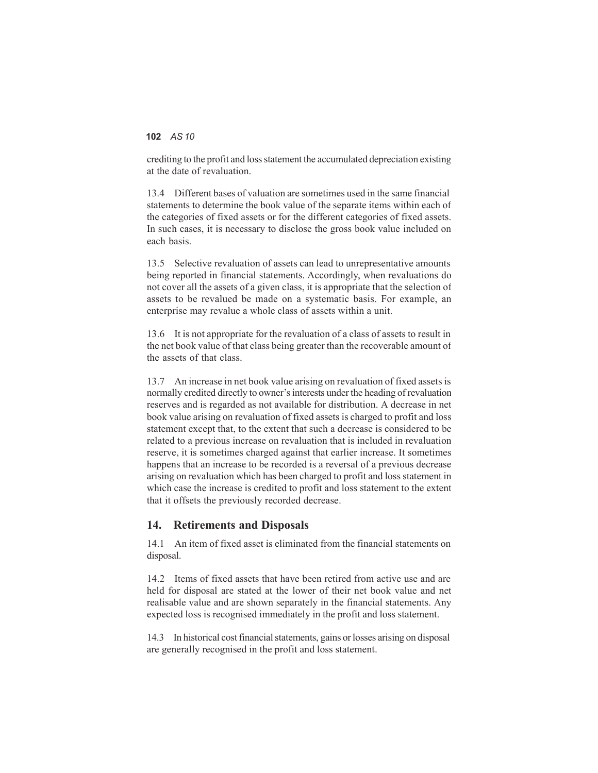crediting to the profit and loss statement the accumulated depreciation existing at the date of revaluation.

13.4 Different bases of valuation are sometimes used in the same financial statements to determine the book value of the separate items within each of the categories of fixed assets or for the different categories of fixed assets. In such cases, it is necessary to disclose the gross book value included on each basis.

13.5 Selective revaluation of assets can lead to unrepresentative amounts being reported in financial statements. Accordingly, when revaluations do not cover all the assets of a given class, it is appropriate that the selection of assets to be revalued be made on a systematic basis. For example, an enterprise may revalue a whole class of assets within a unit.

13.6 It is not appropriate for the revaluation of a class of assets to result in the net book value of that class being greater than the recoverable amount of the assets of that class.

13.7 An increase in net book value arising on revaluation of fixed assets is normally credited directly to owner's interests under the heading of revaluation reserves and is regarded as not available for distribution. A decrease in net book value arising on revaluation of fixed assets is charged to profit and loss statement except that, to the extent that such a decrease is considered to be related to a previous increase on revaluation that is included in revaluation reserve, it is sometimes charged against that earlier increase. It sometimes happens that an increase to be recorded is a reversal of a previous decrease arising on revaluation which has been charged to profit and loss statement in which case the increase is credited to profit and loss statement to the extent that it offsets the previously recorded decrease.

#### **14. Retirements and Disposals**

14.1 An item of fixed asset is eliminated from the financial statements on disposal.

14.2 Items of fixed assets that have been retired from active use and are held for disposal are stated at the lower of their net book value and net realisable value and are shown separately in the financial statements. Any expected loss is recognised immediately in the profit and loss statement.

14.3 In historical cost financial statements, gains orlosses arising on disposal are generally recognised in the profit and loss statement.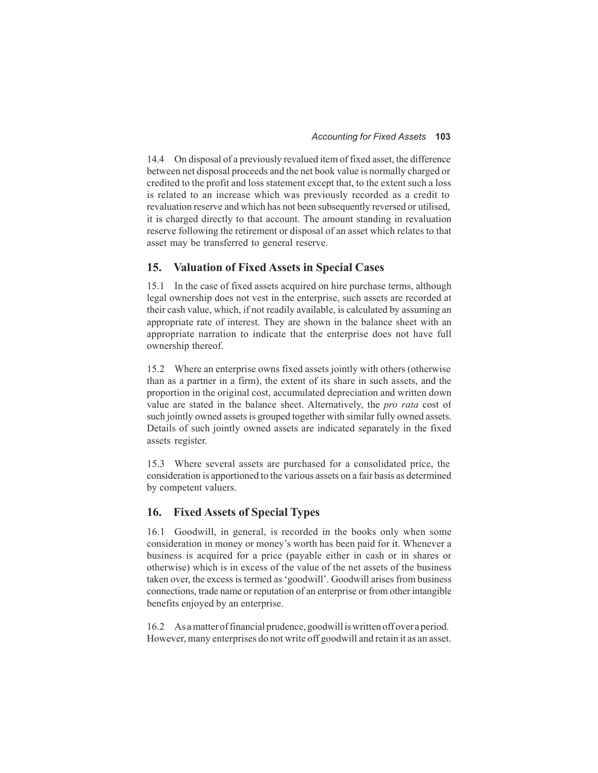14.4 On disposal of a previously revalued item of fixed asset, the difference between net disposal proceeds and the net book value is normally charged or credited to the profit and loss statement except that, to the extent such a loss is related to an increase which was previously recorded as a credit to revaluation reserve and which has not been subsequently reversed or utilised, it is charged directly to that account. The amount standing in revaluation reserve following the retirement or disposal of an asset which relates to that asset may be transferred to general reserve.

#### **15. Valuation of Fixed Assets in Special Cases**

15.1 In the case of fixed assets acquired on hire purchase terms, although legal ownership does not vest in the enterprise, such assets are recorded at their cash value, which, if not readily available, is calculated by assuming an appropriate rate of interest. They are shown in the balance sheet with an appropriate narration to indicate that the enterprise does not have full ownership thereof.

15.2 Where an enterprise owns fixed assets jointly with others (otherwise than as a partner in a firm), the extent of its share in such assets, and the proportion in the original cost, accumulated depreciation and written down value are stated in the balance sheet. Alternatively, the *pro rata* cost of such jointly owned assets is grouped together with similar fully owned assets. Details of such jointly owned assets are indicated separately in the fixed assets register.

15.3 Where several assets are purchased for a consolidated price, the consideration is apportioned to the various assets on a fair basis as determined by competent valuers.

#### **16. Fixed Assets of Special Types**

16.1 Goodwill, in general, is recorded in the books only when some consideration in money or money's worth has been paid for it. Whenever a business is acquired for a price (payable either in cash or in shares or otherwise) which is in excess of the value of the net assets of the business taken over, the excess is termed as 'goodwill'. Goodwill arises from business connections, trade name or reputation of an enterprise or from other intangible benefits enjoyed by an enterprise.

16.2 As a matter of financial prudence, goodwill iswritten off over a period. However, many enterprises do not write off goodwill and retain it as an asset.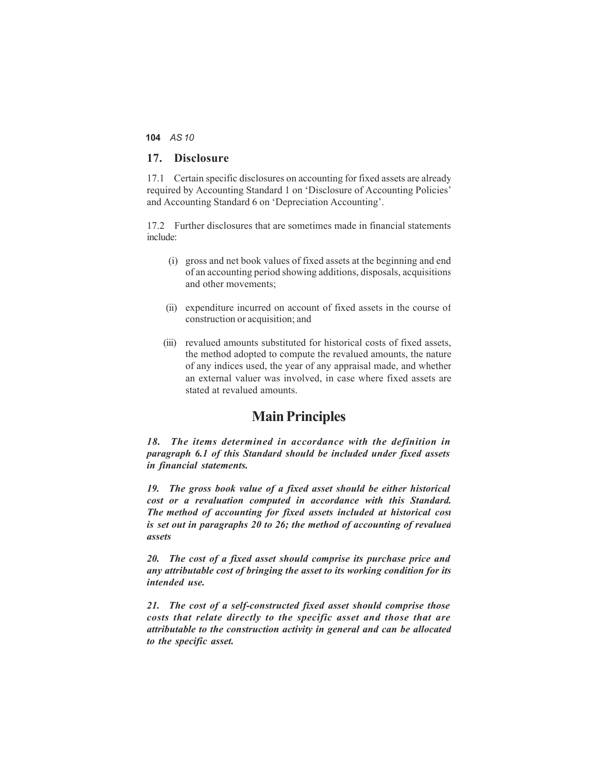#### **17. Disclosure**

17.1 Certain specific disclosures on accounting for fixed assets are already required by Accounting Standard 1 on 'Disclosure of Accounting Policies' and Accounting Standard 6 on 'Depreciation Accounting'.

17.2 Further disclosures that are sometimes made in financial statements include:

- (i) gross and net book values of fixed assets at the beginning and end of an accounting period showing additions, disposals, acquisitions and other movements;
- (ii) expenditure incurred on account of fixed assets in the course of construction or acquisition; and
- (iii) revalued amounts substituted for historical costs of fixed assets, the method adopted to compute the revalued amounts, the nature of any indices used, the year of any appraisal made, and whether an external valuer was involved, in case where fixed assets are stated at revalued amounts.

### **Main Principles**

*18. The items determined in accordance with the definition in paragraph 6.1 of this Standard should be included under fixed assets in financial statements.*

*19. The gross book value of a fixed asset should be either historical cost or a revaluation computed in accordance with this Standard. The method of accounting for fixed assets included at historical cost is set out in paragraphs 20 to 26; the method of accounting of revalued assets*

*20. The cost of a fixed asset should comprise its purchase price and any attributable cost of bringing the asset to its working condition for its intended use.*

*21. The cost of a self-constructed fixed asset should comprise those costs that relate directly to the specific asset and those that are attributable to the construction activity in general and can be allocated to the specific asset.*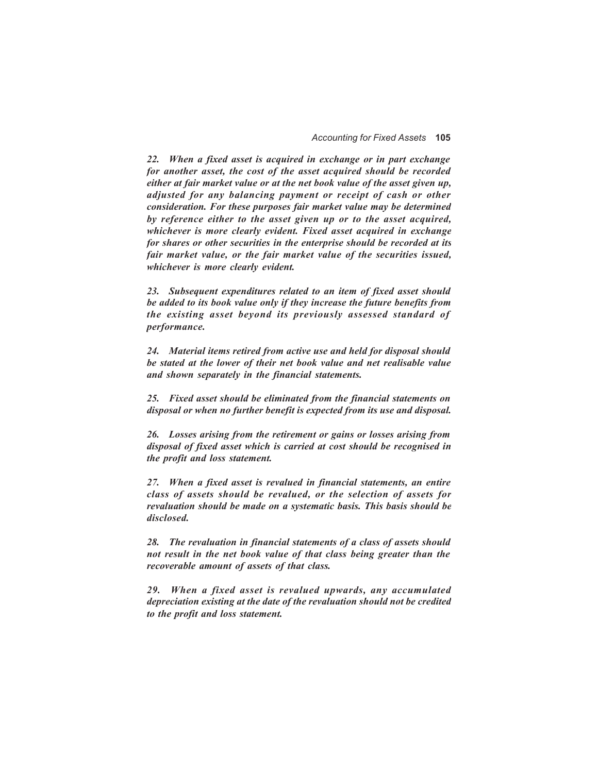*22. When a fixed asset is acquired in exchange or in part exchange for another asset, the cost of the asset acquired should be recorded either at fair market value or at the net book value of the asset given up, adjusted for any balancing payment or receipt of cash or other consideration. For these purposes fair market value may be determined by reference either to the asset given up or to the asset acquired, whichever is more clearly evident. Fixed asset acquired in exchange for shares or other securities in the enterprise should be recorded at its fair market value, or the fair market value of the securities issued, whichever is more clearly evident.*

*23. Subsequent expenditures related to an item of fixed asset should be added to its book value only if they increase the future benefits from the existing asset beyond its previously assessed standard of performance.*

*24. Material items retired from active use and held for disposal should be stated at the lower of their net book value and net realisable value and shown separately in the financial statements.*

*25. Fixed asset should be eliminated from the financial statements on disposal or when no further benefit is expected from its use and disposal.*

*26. Losses arising from the retirement or gains or losses arising from disposal of fixed asset which is carried at cost should be recognised in the profit and loss statement.*

*27. When a fixed asset is revalued in financial statements, an entire class of assets should be revalued, or the selection of assets for revaluation should be made on a systematic basis. This basis should be disclosed.*

*28. The revaluation in financial statements of a class of assets should not result in the net book value of that class being greater than the recoverable amount of assets of that class.*

*29. When a fixed asset is revalued upwards, any accumulated depreciation existing at the date of the revaluation should not be credited to the profit and loss statement.*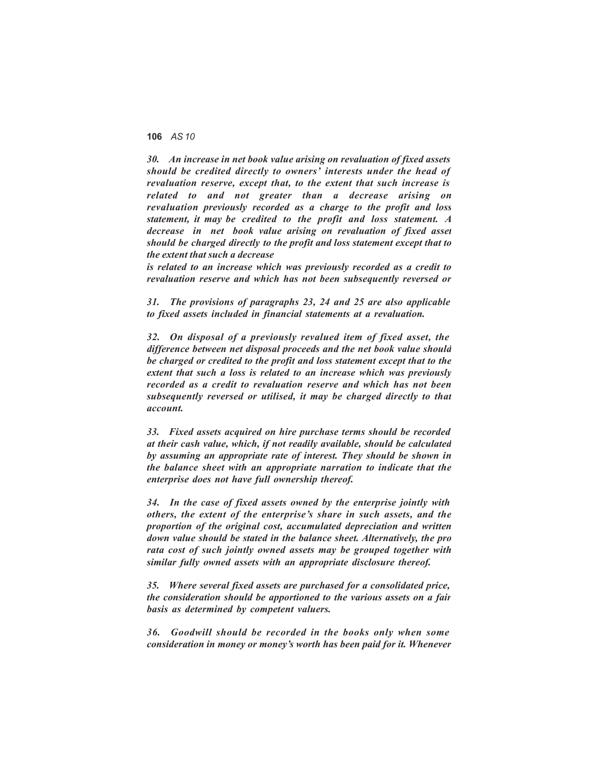*30. An increase in net book value arising on revaluation of fixed assets should be credited directly to owners' interests under the head of revaluation reserve, except that, to the extent that such increase is related to and not greater than a decrease arising on revaluation previously recorded as a charge to the profit and loss statement, it may be credited to the profit and loss statement. A decrease in net book value arising on revaluation of fixed asset should be charged directly to the profit and loss statement except that to the extent that such a decrease*

*is related to an increase which was previously recorded as a credit to revaluation reserve and which has not been subsequently reversed or*

*31. The provisions of paragraphs 23, 24 and 25 are also applicable to fixed assets included in financial statements at a revaluation.*

*32. On disposal of a previously revalued item of fixed asset, the difference between net disposal proceeds and the net book value should be charged or credited to the profit and loss statement except that to the extent that such a loss is related to an increase which was previously recorded as a credit to revaluation reserve and which has not been subsequently reversed or utilised, it may be charged directly to that account.*

*33. Fixed assets acquired on hire purchase terms should be recorded at their cash value, which, if not readily available, should be calculated by assuming an appropriate rate of interest. They should be shown in the balance sheet with an appropriate narration to indicate that the enterprise does not have full ownership thereof.*

*34. In the case of fixed assets owned by the enterprise jointly with others, the extent of the enterprise's share in such assets, and the proportion of the original cost, accumulated depreciation and written down value should be stated in the balance sheet. Alternatively, the pro rata cost of such jointly owned assets may be grouped together with similar fully owned assets with an appropriate disclosure thereof.*

*35. Where several fixed assets are purchased for a consolidated price, the consideration should be apportioned to the various assets on a fair basis as determined by competent valuers.*

*36. Goodwill should be recorded in the books only when some consideration in money or money's worth has been paid for it. Whenever*